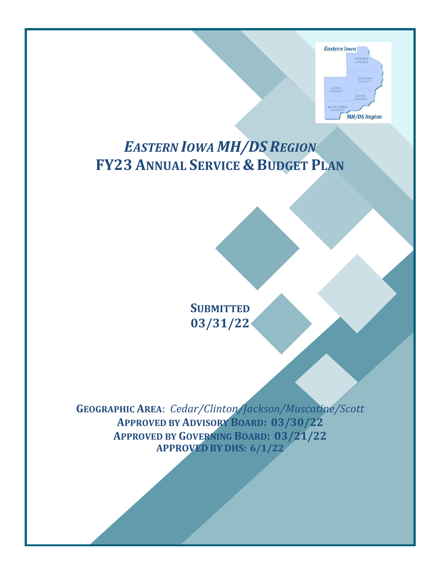

# *EASTERN IOWA MH/DS REGION* **FY23 ANNUAL SERVICE & BUDGET PLAN**

**SUBMITTED 03/31/22**

**GEOGRAPHIC AREA**: *Cedar/Clinton/Jackson/Muscatine/Scott* **APPROVED BY ADVISORY BOARD: 03/30/22 APPROVED BY GOVERNING BOARD: 03/21/22 APPROVED BY DHS: 6/1/22**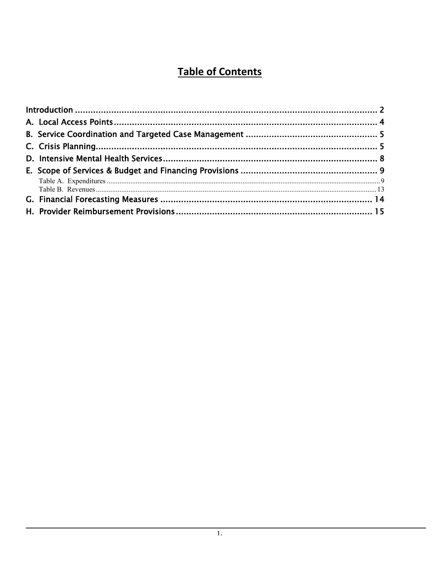# **Table of Contents**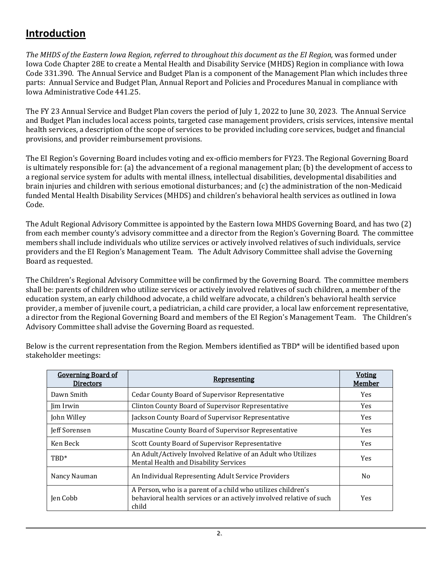### <span id="page-2-0"></span>**Introduction**

*The MHDS of the Eastern Iowa Region, referred to throughout this document as the EI Region,* was formed under Iowa Code Chapter 28E to create a Mental Health and Disability Service (MHDS) Region in compliance with Iowa Code 331.390. The Annual Service and Budget Plan is a component of the Management Plan which includes three parts: Annual Service and Budget Plan, Annual Report and Policies and Procedures Manual in compliance with Iowa Administrative Code 441.25.

The FY 23 Annual Service and Budget Plan covers the period of July 1, 2022 to June 30, 2023. The Annual Service and Budget Plan includes local access points, targeted case management providers, crisis services, intensive mental health services, a description of the scope of services to be provided including core services, budget and financial provisions, and provider reimbursement provisions.

The EI Region's Governing Board includes voting and ex-officio members for FY23. The Regional Governing Board is ultimately responsible for: (a) the advancement of a regional management plan; (b) the development of access to a regional service system for adults with mental illness, intellectual disabilities, developmental disabilities and brain injuries and children with serious emotional disturbances; and (c) the administration of the non-Medicaid funded Mental Health Disability Services (MHDS) and children's behavioral health services as outlined in Iowa Code.

The Adult Regional Advisory Committee is appointed by the Eastern Iowa MHDS Governing Board, and has two (2) from each member county's advisory committee and a director from the Region's Governing Board. The committee members shall include individuals who utilize services or actively involved relatives of such individuals, service providers and the EI Region's Management Team. The Adult Advisory Committee shall advise the Governing Board as requested.

The Children's Regional Advisory Committee will be confirmed by the Governing Board. The committee members shall be: parents of children who utilize services or actively involved relatives of such children, a member of the education system, an early childhood advocate, a child welfare advocate, a children's behavioral health service provider, a member of juvenile court, a pediatrician, a child care provider, a local law enforcement representative, a director from the Regional Governing Board and members of the EI Region's Management Team. The Children's Advisory Committee shall advise the Governing Board as requested.

| <b>Governing Board of</b><br><b>Directors</b> | <b>Representing</b>                                                                                                                          | <b>Voting</b><br><b>Member</b> |
|-----------------------------------------------|----------------------------------------------------------------------------------------------------------------------------------------------|--------------------------------|
| Dawn Smith                                    | <b>Cedar County Board of Supervisor Representative</b>                                                                                       | Yes                            |
| <b>lim</b> Irwin                              | <b>Clinton County Board of Supervisor Representative</b>                                                                                     | <b>Yes</b>                     |
| John Willey                                   | Jackson County Board of Supervisor Representative                                                                                            | <b>Yes</b>                     |
| Jeff Sorensen                                 | Muscatine County Board of Supervisor Representative                                                                                          | Yes                            |
| Ken Beck                                      | Scott County Board of Supervisor Representative                                                                                              | Yes                            |
| $TBD^*$                                       | An Adult/Actively Involved Relative of an Adult who Utilizes<br>Mental Health and Disability Services                                        | Yes                            |
| Nancy Nauman                                  | An Individual Representing Adult Service Providers                                                                                           | No.                            |
| Jen Cobb                                      | A Person, who is a parent of a child who utilizes children's<br>behavioral health services or an actively involved relative of such<br>child | <b>Yes</b>                     |

Below is the current representation from the Region. Members identified as TBD\* will be identified based upon stakeholder meetings: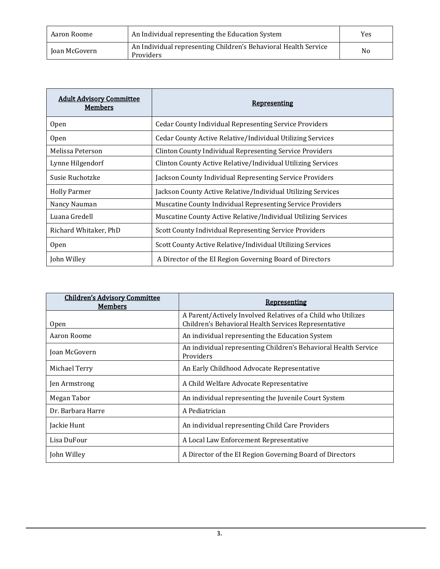| Aaron Roome   | An Individual representing the Education System                              | Yes            |
|---------------|------------------------------------------------------------------------------|----------------|
| Joan McGovern | An Individual representing Children's Behavioral Health Service<br>Providers | N <sub>o</sub> |

| <b>Adult Advisory Committee</b><br><u>Members</u> | <b>Representing</b>                                             |
|---------------------------------------------------|-----------------------------------------------------------------|
| Open                                              | <b>Cedar County Individual Representing Service Providers</b>   |
| <b>Open</b>                                       | Cedar County Active Relative/Individual Utilizing Services      |
| Melissa Peterson                                  | <b>Clinton County Individual Representing Service Providers</b> |
| Lynne Hilgendorf                                  | Clinton County Active Relative/Individual Utilizing Services    |
| Susie Ruchotzke                                   | Jackson County Individual Representing Service Providers        |
| <b>Holly Parmer</b>                               | Jackson County Active Relative/Individual Utilizing Services    |
| Nancy Nauman                                      | Muscatine County Individual Representing Service Providers      |
| Luana Gredell                                     | Muscatine County Active Relative/Individual Utilizing Services  |
| Richard Whitaker, PhD                             | Scott County Individual Representing Service Providers          |
| <b>Open</b>                                       | Scott County Active Relative/Individual Utilizing Services      |
| John Willey                                       | A Director of the EI Region Governing Board of Directors        |

| <b>Children's Advisory Committee</b><br><b>Members</b> | <b>Representing</b>                                                                                                  |  |
|--------------------------------------------------------|----------------------------------------------------------------------------------------------------------------------|--|
| <b>Open</b>                                            | A Parent/Actively Involved Relatives of a Child who Utilizes<br>Children's Behavioral Health Services Representative |  |
| Aaron Roome                                            | An individual representing the Education System                                                                      |  |
| Joan McGovern                                          | An individual representing Children's Behavioral Health Service<br>Providers                                         |  |
| Michael Terry                                          | An Early Childhood Advocate Representative                                                                           |  |
| Jen Armstrong                                          | A Child Welfare Advocate Representative                                                                              |  |
| Megan Tabor                                            | An individual representing the Juvenile Court System                                                                 |  |
| Dr. Barbara Harre                                      | A Pediatrician                                                                                                       |  |
| Jackie Hunt                                            | An individual representing Child Care Providers                                                                      |  |
| Lisa DuFour                                            | A Local Law Enforcement Representative                                                                               |  |
| John Willey                                            | A Director of the EI Region Governing Board of Directors                                                             |  |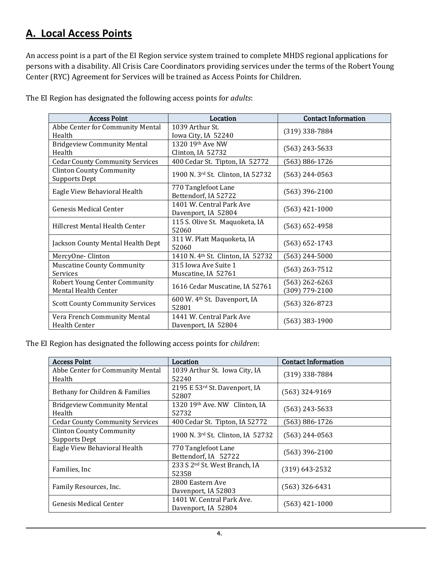# <span id="page-4-0"></span>**A. Local Access Points**

An access point is a part of the EI Region service system trained to complete MHDS regional applications for persons with a disability. All Crisis Care Coordinators providing services under the terms of the Robert Young Center (RYC) Agreement for Services will be trained as Access Points for Children.

| <b>Access Point</b>                                     | Location                                          | <b>Contact Information</b> |
|---------------------------------------------------------|---------------------------------------------------|----------------------------|
| Abbe Center for Community Mental                        | 1039 Arthur St.                                   | $(319)$ 338-7884           |
| Health                                                  | Iowa City, IA 52240                               |                            |
| <b>Bridgeview Community Mental</b>                      | 1320 19th Ave NW                                  | $(563)$ 243-5633           |
| Health                                                  | Clinton, IA 52732                                 |                            |
| <b>Cedar County Community Services</b>                  | 400 Cedar St. Tipton, IA 52772                    | (563) 886-1726             |
| <b>Clinton County Community</b><br><b>Supports Dept</b> | 1900 N. 3rd St. Clinton, IA 52732                 | $(563)$ 244-0563           |
| Eagle View Behavioral Health                            | 770 Tanglefoot Lane<br>Bettendorf, IA 52722       | $(563)$ 396-2100           |
| <b>Genesis Medical Center</b>                           | 1401 W. Central Park Ave<br>Davenport, IA 52804   | $(563)$ 421-1000           |
| <b>Hillcrest Mental Health Center</b>                   | 115 S. Olive St. Maquoketa, IA<br>52060           | $(563) 652 - 4958$         |
| Jackson County Mental Health Dept                       | 311 W. Platt Maquoketa, IA<br>52060               | $(563) 652 - 1743$         |
| MercyOne-Clinton                                        | 1410 N. 4th St. Clinton, IA 52732                 | (563) 244-5000             |
| <b>Muscatine County Community</b><br>Services           | 315 Iowa Ave Suite 1<br>Muscatine, IA 52761       | (563) 263-7512             |
| <b>Robert Young Center Community</b>                    | 1616 Cedar Muscatine, IA 52761                    | $(563)$ 262-6263           |
| Mental Health Center                                    |                                                   | (309) 779-2100             |
| <b>Scott County Community Services</b>                  | 600 W. 4 <sup>th</sup> St. Davenport, IA<br>52801 | $(563)$ 326-8723           |
| Vera French Community Mental                            | 1441 W. Central Park Ave                          | $(563)$ 383-1900           |
| <b>Health Center</b>                                    | Davenport, IA 52804                               |                            |

The EI Region has designated the following access points for *adults*:

The EI Region has designated the following access points for *children*:

| <b>Access Point</b>                                     | Location                                           | <b>Contact Information</b> |
|---------------------------------------------------------|----------------------------------------------------|----------------------------|
| Abbe Center for Community Mental<br>Health              | 1039 Arthur St. Iowa City, IA<br>52240             | $(319)$ 338-7884           |
| Bethany for Children & Families                         | 2195 E 53rd St. Davenport, IA<br>52807             | $(563)$ 324-9169           |
| <b>Bridgeview Community Mental</b><br>Health            | 1320 19th Ave. NW Clinton, IA<br>52732             | $(563)$ 243-5633           |
| <b>Cedar County Community Services</b>                  | 400 Cedar St. Tipton, IA 52772                     | (563) 886-1726             |
| <b>Clinton County Community</b><br><b>Supports Dept</b> | 1900 N. 3rd St. Clinton, IA 52732                  | (563) 244-0563             |
| Eagle View Behavioral Health                            | 770 Tanglefoot Lane<br>Bettendorf, IA 52722        | $(563)$ 396-2100           |
| Families, Inc.                                          | 233 S 2 <sup>nd</sup> St. West Branch, IA<br>52358 | $(319) 643 - 2532$         |
| Family Resources, Inc.                                  | 2800 Eastern Ave<br>Davenport, IA 52803            | $(563)$ 326-6431           |
| <b>Genesis Medical Center</b>                           | 1401 W. Central Park Ave.<br>Davenport, IA 52804   | $(563)$ 421-1000           |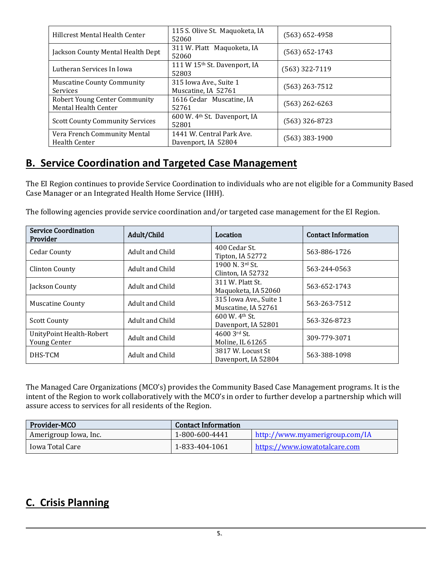| Hillcrest Mental Health Center                               | 115 S. Olive St. Maquoketa, IA<br>52060           | (563) 652-4958   |
|--------------------------------------------------------------|---------------------------------------------------|------------------|
| Jackson County Mental Health Dept                            | 311 W. Platt Maquoketa, IA<br>52060               | (563) 652-1743   |
| Lutheran Services In Iowa                                    | 111 W 15th St. Davenport, IA<br>52803             | $(563)$ 322-7119 |
| <b>Muscatine County Community</b><br>Services                | 315 Iowa Ave., Suite 1<br>Muscatine, IA 52761     | (563) 263-7512   |
| <b>Robert Young Center Community</b><br>Mental Health Center | 1616 Cedar Muscatine, IA<br>52761                 | (563) 262-6263   |
| <b>Scott County Community Services</b>                       | 600 W. 4 <sup>th</sup> St. Davenport, IA<br>52801 | (563) 326-8723   |
| Vera French Community Mental<br><b>Health Center</b>         | 1441 W. Central Park Ave.<br>Davenport, IA 52804  | (563) 383-1900   |

## <span id="page-5-0"></span>**B. Service Coordination and Targeted Case Management**

The EI Region continues to provide Service Coordination to individuals who are not eligible for a Community Based Case Manager or an Integrated Health Home Service (IHH).

The following agencies provide service coordination and/or targeted case management for the EI Region.

| <b>Service Coordination</b><br>Provider         | Adult/Child     | Location                                                        | <b>Contact Information</b> |
|-------------------------------------------------|-----------------|-----------------------------------------------------------------|----------------------------|
| <b>Cedar County</b>                             | Adult and Child | 400 Cedar St.<br>Tipton, IA 52772                               | 563-886-1726               |
| <b>Clinton County</b>                           | Adult and Child | 1900 N. 3rd St.<br>Clinton, IA 52732                            | 563-244-0563               |
| Jackson County                                  | Adult and Child | 311 W. Platt St.<br>Maguoketa, IA 52060                         | 563-652-1743               |
| <b>Muscatine County</b>                         | Adult and Child | 315 Iowa Ave., Suite 1<br>Muscatine, IA 52761                   | 563-263-7512               |
| <b>Scott County</b>                             | Adult and Child | $600 \,\mathrm{W}$ . 4 <sup>th</sup> St.<br>Davenport, IA 52801 | 563-326-8723               |
| UnityPoint Health-Robert<br><b>Young Center</b> | Adult and Child | $4600$ 3rd St.<br>Moline, IL 61265                              | 309-779-3071               |
| DHS-TCM                                         | Adult and Child | 3817 W. Locust St<br>Davenport, IA 52804                        | 563-388-1098               |

The Managed Care Organizations (MCO's) provides the Community Based Case Management programs. It is the intent of the Region to work collaboratively with the MCO's in order to further develop a partnership which will assure access to services for all residents of the Region.

| Provider-MCO          | <b>Contact Information</b> |                                |
|-----------------------|----------------------------|--------------------------------|
| Amerigroup Iowa, Inc. | 1-800-600-4441             | http://www.myamerigroup.com/IA |
| Iowa Total Care       | 1-833-404-1061             | https://www.jowatotalcare.com  |

# <span id="page-5-1"></span>**C. Crisis Planning**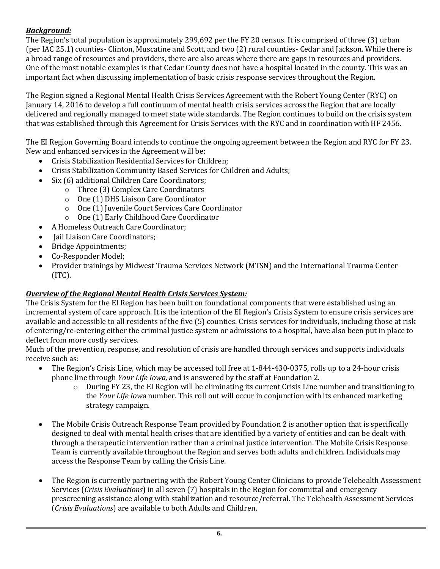### *Background:*

The Region's total population is approximately 299,692 per the FY 20 census. It is comprised of three (3) urban (per IAC 25.1) counties- Clinton, Muscatine and Scott, and two (2) rural counties- Cedar and Jackson. While there is a broad range of resources and providers, there are also areas where there are gaps in resources and providers. One of the most notable examples is that Cedar County does not have a hospital located in the county. This was an important fact when discussing implementation of basic crisis response services throughout the Region.

The Region signed a Regional Mental Health Crisis Services Agreement with the Robert Young Center (RYC) on January 14, 2016 to develop a full continuum of mental health crisis services across the Region that are locally delivered and regionally managed to meet state wide standards. The Region continues to build on the crisis system that was established through this Agreement for Crisis Services with the RYC and in coordination with HF 2456.

The EI Region Governing Board intends to continue the ongoing agreement between the Region and RYC for FY 23. New and enhanced services in the Agreement will be;

- Crisis Stabilization Residential Services for Children;
- Crisis Stabilization Community Based Services for Children and Adults;
- Six (6) additional Children Care Coordinators;
	- o Three (3) Complex Care Coordinators
	- o One (1) DHS Liaison Care Coordinator
	- o One (1) Juvenile Court Services Care Coordinator
	- o One (1) Early Childhood Care Coordinator
- A Homeless Outreach Care Coordinator;
- Jail Liaison Care Coordinators;
- Bridge Appointments;
- Co-Responder Model;
- Provider trainings by Midwest Trauma Services Network (MTSN) and the International Trauma Center  $(ITC)$ .

### *Overview of the Regional Mental Health Crisis Services System:*

The Crisis System for the EI Region has been built on foundational components that were established using an incremental system of care approach. It is the intention of the EI Region's Crisis System to ensure crisis services are available and accessible to all residents of the five (5) counties. Crisis services for individuals, including those at risk of entering/re-entering either the criminal justice system or admissions to a hospital, have also been put in place to deflect from more costly services.

Much of the prevention, response, and resolution of crisis are handled through services and supports individuals receive such as:<br>The Region

- The Region's Crisis Line, which may be accessed toll free at 1-844-430-0375, rolls up to a 24-hour crisis phone line through *Your Life Iowa,* and is answered by the staff at Foundation 2.
	- $\circ$  During FY 23, the EI Region will be eliminating its current Crisis Line number and transitioning to the *Your Life Iow*a number. This roll out will occur in conjunction with its enhanced marketing strategy campaign.
- The Mobile Crisis Outreach Response Team provided by Foundation 2 is another option that is specifically designed to deal with mental health crises that are identified by a variety of entities and can be dealt with through a therapeutic intervention rather than a criminal justice intervention. The Mobile Crisis Response Team is currently available throughout the Region and serves both adults and children. Individuals may access the Response Team by calling the Crisis Line.
- The Region is currently partnering with the Robert Young Center Clinicians to provide Telehealth Assessment Services (*Crisis Evaluations*) in all seven (7) hospitals in the Region for committal and emergency prescreening assistance along with stabilization and resource/referral. The Telehealth Assessment Services (*Crisis Evaluations*) are available to both Adults and Children.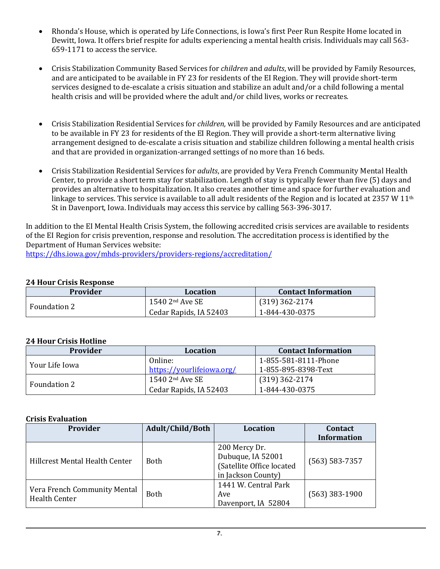- Rhonda's House, which is operated by Life Connections, is Iowa's first Peer Run Respite Home located in Dewitt, Iowa. It offers brief respite for adults experiencing a mental health crisis. Individuals may call 563- 659-1171 to access the service.
- Crisis Stabilization Community Based Services for *children* and *adults*, will be provided by Family Resources, and are anticipated to be available in FY 23 for residents of the EI Region. They will provide short-term services designed to de-escalate a crisis situation and stabilize an adult and/or a child following a mental health crisis and will be provided where the adult and/or child lives, works or recreates.
- Crisis Stabilization Residential Services for *children,* will be provided by Family Resources and are anticipated to be available in FY 23 for residents of the EI Region. They will provide a short-term alternative living arrangement designed to de-escalate a crisis situation and stabilize children following a mental health crisis and that are provided in organization-arranged settings of no more than 16 beds.
- Crisis Stabilization Residential Services for *adults*, are provided by Vera French Community Mental Health Center, to provide a short term stay for stabilization. Length of stay is typically fewer than five (5) days and provides an alternative to hospitalization. It also creates another time and space for further evaluation and linkage to services. This service is available to all adult residents of the Region and is located at 2357 W  $11<sup>th</sup>$ St in Davenport, Iowa. Individuals may access this service by calling 563-396-3017.

In addition to the EI Mental Health Crisis System, the following accredited crisis services are available to residents of the EI Region for crisis prevention, response and resolution. The accreditation process is identified by the Department of Human Services website:

<https://dhs.iowa.gov/mhds-providers/providers-regions/accreditation/>

#### **24 Hour Crisis Response**

| <b>Provider</b>     | Location               | <b>Contact Information</b> |
|---------------------|------------------------|----------------------------|
| <b>Foundation 2</b> | $1540$ $2nd$ Ave SE    | $(319)$ 362-2174           |
|                     | Cedar Rapids, IA 52403 | 1-844-430-0375             |

#### **24 Hour Crisis Hotline**

| <b>Provider</b> | Location                      | <b>Contact Information</b> |
|-----------------|-------------------------------|----------------------------|
| Your Life Iowa  | Online:                       | 1-855-581-8111-Phone       |
|                 | https://vourlifeiowa.org/     | 1-855-895-8398-Text        |
| Foundation 2    | $1540$ 2 <sup>nd</sup> Ave SE | (319) 362-2174             |
|                 | Cedar Rapids, IA 52403        | 1-844-430-0375             |

#### **Crisis Evaluation**

| <b>Provider</b>                                      | Adult/Child/Both | <b>Location</b>                                                                       | <b>Contact</b><br><b>Information</b> |
|------------------------------------------------------|------------------|---------------------------------------------------------------------------------------|--------------------------------------|
| Hillcrest Mental Health Center                       | <b>Both</b>      | 200 Mercy Dr.<br>Dubuque, IA 52001<br>(Satellite Office located<br>in Jackson County) | $(563) 583 - 7357$                   |
| Vera French Community Mental<br><b>Health Center</b> | <b>Both</b>      |                                                                                       | $(563)$ 383-1900                     |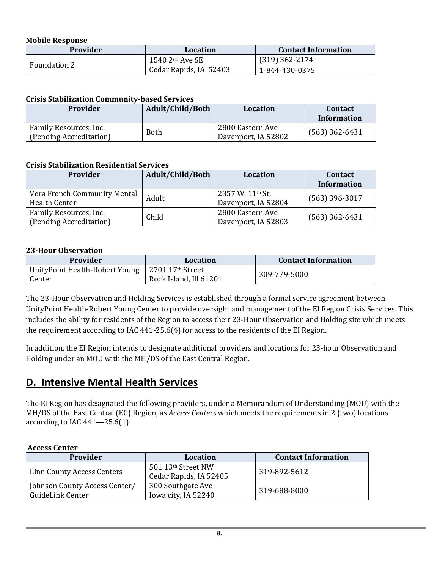#### **Mobile Response**

| <b>Provider</b> | Location               | <b>Contact Information</b> |  |  |  |  |
|-----------------|------------------------|----------------------------|--|--|--|--|
| Foundation 2    | $1540$ $2nd$ Ave SE    | $(319)$ 362-2174           |  |  |  |  |
|                 | Cedar Rapids, IA 52403 | 1-844-430-0375             |  |  |  |  |

#### **Crisis Stabilization Community-based Services**

| <b>Provider</b>                                   | Adult/Child/Both | <b>Location</b>                         | <b>Contact</b><br><b>Information</b> |  |  |
|---------------------------------------------------|------------------|-----------------------------------------|--------------------------------------|--|--|
| Family Resources, Inc.<br>(Pending Accreditation) | Both             | 2800 Eastern Ave<br>Davenport, IA 52802 | $(563)$ 362-6431                     |  |  |

#### **Crisis Stabilization Residential Services**

| <b>Provider</b>                                      | Adult/Child/Both | Location                                    | <b>Contact</b><br><b>Information</b> |
|------------------------------------------------------|------------------|---------------------------------------------|--------------------------------------|
| Vera French Community Mental<br><b>Health Center</b> | Adult            | $2357$ W. $11th$ St.<br>Davenport, IA 52804 | $(563)$ 396-3017                     |
| Family Resources, Inc.<br>(Pending Accreditation)    | Child            | 2800 Eastern Ave<br>Davenport, IA 52803     | $(563)$ 362-6431                     |

#### **23-Hour Observation**

| Provider                                 | Location                                   | <b>Contact Information</b> |
|------------------------------------------|--------------------------------------------|----------------------------|
| UnityPoint Health-Robert Young<br>Center | 2701 17th Street<br>Rock Island, Ill 61201 | 309-779-5000               |

The 23-Hour Observation and Holding Services is established through a formal service agreement between UnityPoint Health-Robert Young Center to provide oversight and management of the EI Region Crisis Services. This includes the ability for residents of the Region to access their 23-Hour Observation and Holding site which meets the requirement according to IAC 441-25.6(4) for access to the residents of the EI Region.

In addition, the EI Region intends to designate additional providers and locations for 23-hour Observation and Holding under an MOU with the MH/DS of the East Central Region.

### <span id="page-8-0"></span>**D. Intensive Mental Health Services**

The EI Region has designated the following providers, under a Memorandum of Understanding (MOU) with the MH/DS of the East Central (EC) Region, as *Access Centers* which meets the requirements in 2 (two) locations according to IAC  $441 - 25.6(1)$ :

#### **Access Center**

| Provider                      | <b>Location</b>        | <b>Contact Information</b> |  |  |  |  |
|-------------------------------|------------------------|----------------------------|--|--|--|--|
| Linn County Access Centers    | 501 13th Street NW     | 319-892-5612               |  |  |  |  |
|                               | Cedar Rapids, IA 52405 |                            |  |  |  |  |
| Johnson County Access Center/ | 300 Southgate Ave      | 319-688-8000               |  |  |  |  |
| GuideLink Center              | Iowa city, IA 52240    |                            |  |  |  |  |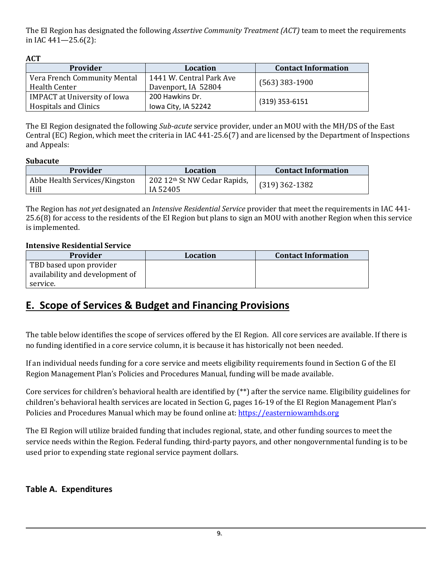The EI Region has designated the following *Assertive Community Treatment (ACT)* team to meet the requirements in IAC 441—25.6(2):

**ACT** 

| Provider                                                            | <b>Location</b>                                 | <b>Contact Information</b> |  |  |  |
|---------------------------------------------------------------------|-------------------------------------------------|----------------------------|--|--|--|
| Vera French Community Mental<br>Health Center                       | 1441 W. Central Park Ave<br>Davenport, IA 52804 | $(563)$ 383-1900           |  |  |  |
| <b>IMPACT</b> at University of Iowa<br><b>Hospitals and Clinics</b> | 200 Hawkins Dr.<br>lowa City, IA 52242          | $(319)$ 353-6151           |  |  |  |

The EI Region designated the following *Sub-acute* service provider, under an MOU with the MH/DS of the East Central (EC) Region, which meet the criteria in IAC 441-25.6(7) and are licensed by the Department of Inspections and Appeals:

#### **Subacute**

| Provider                              | Location                                 | <b>Contact Information</b> |
|---------------------------------------|------------------------------------------|----------------------------|
| Abbe Health Services/Kingston<br>Hill | 202 12th St NW Cedar Rapids,<br>IA 52405 | $(319)$ 362-1382           |

The Region has *not yet* designated an *Intensive Residential Service* provider that meet the requirements in IAC 441- 25.6(8) for access to the residents of the EI Region but plans to sign an MOU with another Region when this service is implemented.

#### **Intensive Residential Service**

| <b>Provider</b>                 | Location | <b>Contact Information</b> |
|---------------------------------|----------|----------------------------|
| TBD based upon provider         |          |                            |
| availability and development of |          |                            |
| service.                        |          |                            |

# <span id="page-9-0"></span>**E. Scope of Services & Budget and Financing Provisions**

The table below identifies the scope of services offered by the EI Region. All core services are available. If there is no funding identified in a core service column, it is because it has historically not been needed.

If an individual needs funding for a core service and meets eligibility requirements found in Section G of the EI Region Management Plan's Policies and Procedures Manual, funding will be made available.

Core services for children's behavioral health are identified by (\*\*) after the service name. Eligibility guidelines for children's behavioral health services are located in Section G, pages 16-19 of the EI Region Management Plan's Policies and Procedures Manual which may be found online at: [https://easterniowamhds.org](https://easterniowamhds.org/)

The EI Region will utilize braided funding that includes regional, state, and other funding sources to meet the service needs within the Region. Federal funding, third-party payors, and other nongovernmental funding is to be used prior to expending state regional service payment dollars.

### <span id="page-9-1"></span>**Table A. Expenditures**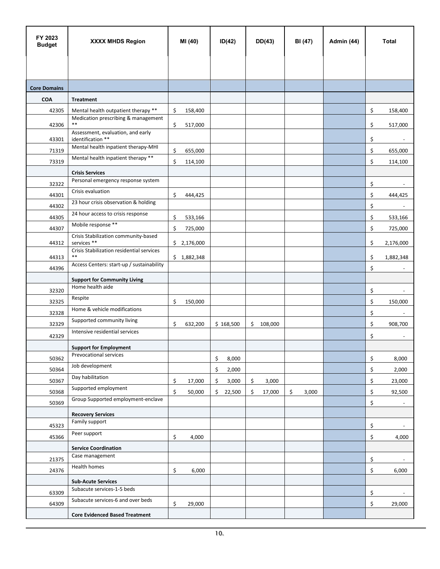| FY 2023<br><b>Budget</b> | <b>XXXX MHDS Region</b>                                      | MI (40)       | ID(42)       | DD(43)        | BI (47)     | Admin (44) | <b>Total</b>                   |  |
|--------------------------|--------------------------------------------------------------|---------------|--------------|---------------|-------------|------------|--------------------------------|--|
|                          |                                                              |               |              |               |             |            |                                |  |
|                          |                                                              |               |              |               |             |            |                                |  |
| <b>Core Domains</b>      |                                                              |               |              |               |             |            |                                |  |
| COA                      | <b>Treatment</b>                                             |               |              |               |             |            |                                |  |
| 42305                    | Mental health outpatient therapy **                          | \$<br>158,400 |              |               |             |            | \$<br>158,400                  |  |
| 42306                    | Medication prescribing & management<br>$\ast\ast$            | \$<br>517,000 |              |               |             |            | \$                             |  |
|                          | Assessment, evaluation, and early                            |               |              |               |             |            | 517,000                        |  |
| 43301                    | identification **<br>Mental health inpatient therapy-MHI     |               |              |               |             |            | \$                             |  |
| 71319                    | Mental health inpatient therapy **                           | \$<br>655,000 |              |               |             |            | \$<br>655,000                  |  |
| 73319                    |                                                              | \$<br>114,100 |              |               |             |            | \$<br>114,100                  |  |
|                          | <b>Crisis Services</b><br>Personal emergency response system |               |              |               |             |            |                                |  |
| 32322                    | Crisis evaluation                                            |               |              |               |             |            | \$<br>$\overline{\phantom{a}}$ |  |
| 44301                    | 23 hour crisis observation & holding                         | \$<br>444,425 |              |               |             |            | \$<br>444,425                  |  |
| 44302                    | 24 hour access to crisis response                            |               |              |               |             |            | \$                             |  |
| 44305                    |                                                              | \$<br>533,166 |              |               |             |            | \$<br>533,166                  |  |
| 44307                    | Mobile response **                                           | \$<br>725,000 |              |               |             |            | \$<br>725,000                  |  |
| 44312                    | Crisis Stabilization community-based<br>services **          | \$2,176,000   |              |               |             |            | \$<br>2,176,000                |  |
| 44313                    | Crisis Stabilization residential services<br>$\ast\ast$      | \$1,882,348   |              |               |             |            | \$<br>1,882,348                |  |
| 44396                    | Access Centers: start-up / sustainability                    |               |              |               |             |            | \$                             |  |
|                          | <b>Support for Community Living</b>                          |               |              |               |             |            |                                |  |
| 32320                    | Home health aide                                             |               |              |               |             |            | \$                             |  |
| 32325                    | Respite                                                      | \$<br>150,000 |              |               |             |            | \$                             |  |
| 32328                    | Home & vehicle modifications                                 |               |              |               |             |            | 150,000<br>\$                  |  |
| 32329                    | Supported community living                                   | \$<br>632,200 | \$168,500    | \$<br>108,000 |             |            | \$<br>908,700                  |  |
|                          | Intensive residential services                               |               |              |               |             |            |                                |  |
| 42329                    |                                                              |               |              |               |             |            | \$                             |  |
|                          | <b>Support for Employment</b><br>Prevocational services      |               |              |               |             |            |                                |  |
| 50362                    | Job development                                              |               | \$<br>8,000  |               |             |            | \$<br>8,000                    |  |
| 50364                    | Day habilitation                                             |               | \$<br>2,000  |               |             |            | \$<br>2,000                    |  |
| 50367                    |                                                              | \$<br>17,000  | \$<br>3,000  | \$<br>3,000   |             |            | \$<br>23,000                   |  |
| 50368                    | Supported employment                                         | \$<br>50,000  | \$<br>22,500 | \$<br>17,000  | \$<br>3,000 |            | \$<br>92,500                   |  |
| 50369                    | Group Supported employment-enclave                           |               |              |               |             |            | \$<br>$\overline{\phantom{a}}$ |  |
|                          | <b>Recovery Services</b>                                     |               |              |               |             |            |                                |  |
| 45323                    | Family support                                               |               |              |               |             |            | \$                             |  |
| 45366                    | Peer support                                                 | \$<br>4,000   |              |               |             |            | \$<br>4,000                    |  |
|                          | <b>Service Coordination</b>                                  |               |              |               |             |            |                                |  |
| 21375                    | Case management                                              |               |              |               |             |            | \$<br>$\overline{\phantom{a}}$ |  |
| 24376                    | Health homes                                                 | \$<br>6,000   |              |               |             |            | \$<br>6,000                    |  |
|                          | <b>Sub-Acute Services</b>                                    |               |              |               |             |            |                                |  |
| 63309                    | Subacute services-1-5 beds                                   |               |              |               |             |            | \$                             |  |
| 64309                    | Subacute services-6 and over beds                            | \$<br>29,000  |              |               |             |            | \$<br>29,000                   |  |
|                          | <b>Core Evidenced Based Treatment</b>                        |               |              |               |             |            |                                |  |
|                          |                                                              |               |              |               |             |            |                                |  |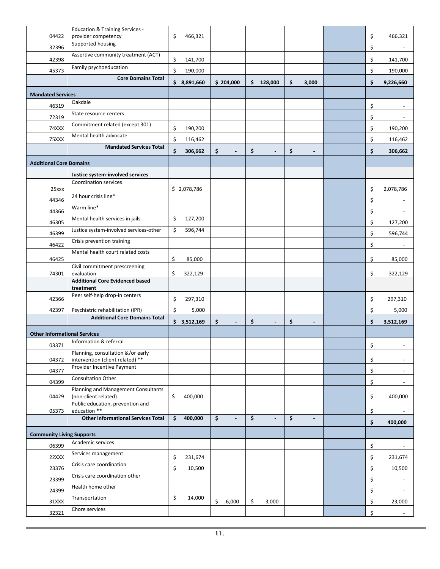| 04422                               | <b>Education &amp; Training Services -</b>                  | \$<br>466,321 |                              |                                |                      |    |                          |
|-------------------------------------|-------------------------------------------------------------|---------------|------------------------------|--------------------------------|----------------------|----|--------------------------|
|                                     | provider competency<br>Supported housing                    |               |                              |                                |                      | \$ | 466,321                  |
| 32396                               | Assertive community treatment (ACT)                         |               |                              |                                |                      | \$ |                          |
| 42398                               | Family psychoeducation                                      | \$<br>141,700 |                              |                                |                      | \$ | 141,700                  |
| 45373                               |                                                             | \$<br>190,000 |                              |                                |                      | \$ | 190,000                  |
|                                     | <b>Core Domains Total</b>                                   | \$8,891,660   | \$204,000                    | \$<br>128,000                  | \$<br>3,000          | \$ | 9,226,660                |
| <b>Mandated Services</b>            |                                                             |               |                              |                                |                      |    |                          |
| 46319                               | Oakdale                                                     |               |                              |                                |                      | \$ |                          |
| 72319                               | State resource centers                                      |               |                              |                                |                      | \$ |                          |
| 74XXX                               | Commitment related (except 301)                             | \$<br>190,200 |                              |                                |                      | \$ | 190,200                  |
| 75XXX                               | Mental health advocate                                      | \$<br>116,462 |                              |                                |                      | \$ | 116,462                  |
|                                     | <b>Mandated Services Total</b>                              | \$<br>306,662 | \$<br>$\blacksquare$         | \$<br>$\blacksquare$           | \$<br>$\blacksquare$ | \$ | 306,662                  |
| <b>Additional Core Domains</b>      |                                                             |               |                              |                                |                      |    |                          |
|                                     |                                                             |               |                              |                                |                      |    |                          |
| 25xxx                               | Justice system-involved services<br>Coordination services   | \$2,078,786   |                              |                                |                      | \$ | 2,078,786                |
| 44346                               | 24 hour crisis line*                                        |               |                              |                                |                      | \$ |                          |
| 44366                               | Warm line*                                                  |               |                              |                                |                      | \$ |                          |
|                                     | Mental health services in jails                             | \$<br>127,200 |                              |                                |                      |    |                          |
| 46305                               | Justice system-involved services-other                      | \$<br>596,744 |                              |                                |                      | \$ | 127,200                  |
| 46399                               | Crisis prevention training                                  |               |                              |                                |                      | \$ | 596,744                  |
| 46422                               | Mental health court related costs                           |               |                              |                                |                      | \$ |                          |
| 46425                               |                                                             | \$<br>85,000  |                              |                                |                      | \$ | 85,000                   |
| 74301                               | Civil commitment prescreening<br>evaluation                 | \$<br>322,129 |                              |                                |                      | \$ | 322,129                  |
|                                     | <b>Additional Core Evidenced based</b><br>treatment         |               |                              |                                |                      |    |                          |
| 42366                               | Peer self-help drop-in centers                              | \$<br>297,310 |                              |                                |                      | \$ | 297,310                  |
| 42397                               | Psychiatric rehabilitation (IPR)                            | \$<br>5,000   |                              |                                |                      | \$ | 5,000                    |
|                                     | <b>Additional Core Domains Total</b>                        | \$3,512,169   | \$<br>$\sim$                 | \$<br>$\blacksquare$           | \$                   | \$ | 3,512,169                |
| <b>Other Informational Services</b> |                                                             |               |                              |                                |                      |    |                          |
| 03371                               | Information & referral                                      |               |                              |                                |                      | Š. |                          |
|                                     | Planning, consultation &/or early                           |               |                              |                                |                      |    |                          |
| 04372                               | intervention (client related) **                            |               |                              |                                |                      | \$ |                          |
| 04377                               | Provider Incentive Payment                                  |               |                              |                                |                      | \$ | $\overline{\phantom{a}}$ |
| 04399                               | Consultation Other                                          |               |                              |                                |                      | \$ |                          |
| 04429                               | Planning and Management Consultants<br>(non-client related) | \$<br>400,000 |                              |                                |                      | \$ | 400,000                  |
|                                     | Public education, prevention and                            |               |                              |                                |                      |    |                          |
| 05373                               | education **<br><b>Other Informational Services Total</b>   | \$<br>400,000 | \$<br>$\blacksquare$         | \$<br>$\overline{\phantom{a}}$ | \$<br>$\blacksquare$ | \$ |                          |
|                                     |                                                             |               |                              |                                |                      | \$ | 400,000                  |
| <b>Community Living Supports</b>    |                                                             |               |                              |                                |                      |    |                          |
| 06399                               | Academic services                                           |               |                              |                                |                      | \$ |                          |
| 22XXX                               | Services management                                         | \$<br>231,674 |                              |                                |                      | \$ | 231,674                  |
| 23376                               | Crisis care coordination                                    | \$<br>10,500  |                              |                                |                      | \$ | 10,500                   |
| 23399                               | Crisis care coordination other                              |               |                              |                                |                      | \$ | $\overline{\phantom{a}}$ |
| 24399                               | Health home other                                           |               |                              |                                |                      | \$ |                          |
| 31XXX                               | Transportation                                              | \$<br>14,000  | $\ddot{\mathsf{S}}$<br>6,000 | \$<br>3,000                    |                      | \$ | 23,000                   |
| 32321                               | Chore services                                              |               |                              |                                |                      | \$ | $\overline{\phantom{a}}$ |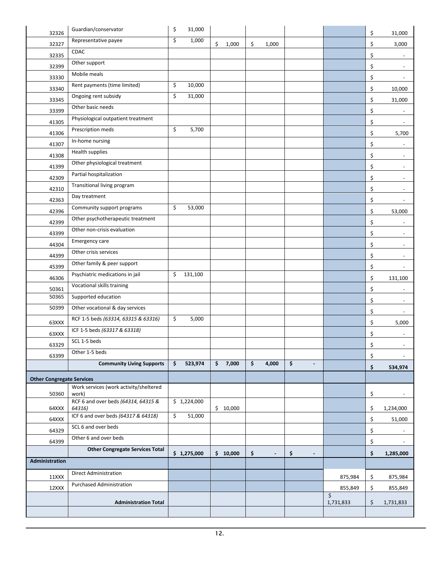| 32326                            | Guardian/conservator                          | \$<br>31,000  |                              |     |                |                      |               | \$ | 31,000                   |
|----------------------------------|-----------------------------------------------|---------------|------------------------------|-----|----------------|----------------------|---------------|----|--------------------------|
| 32327                            | Representative payee                          | \$<br>1,000   | \$<br>1,000                  | \$  | 1,000          |                      |               | \$ | 3,000                    |
| 32335                            | CDAC                                          |               |                              |     |                |                      |               | \$ |                          |
| 32399                            | Other support                                 |               |                              |     |                |                      |               | \$ |                          |
| 33330                            | Mobile meals                                  |               |                              |     |                |                      |               | \$ |                          |
| 33340                            | Rent payments (time limited)                  | \$<br>10,000  |                              |     |                |                      |               | \$ | 10,000                   |
| 33345                            | Ongoing rent subsidy                          | \$<br>31,000  |                              |     |                |                      |               | \$ | 31,000                   |
|                                  | Other basic needs                             |               |                              |     |                |                      |               |    |                          |
| 33399                            | Physiological outpatient treatment            |               |                              |     |                |                      |               | \$ |                          |
| 41305                            | Prescription meds                             | \$<br>5,700   |                              |     |                |                      |               | \$ |                          |
| 41306                            | In-home nursing                               |               |                              |     |                |                      |               | \$ | 5,700                    |
| 41307                            | Health supplies                               |               |                              |     |                |                      |               | \$ |                          |
| 41308                            | Other physiological treatment                 |               |                              |     |                |                      |               | \$ | $\overline{\phantom{a}}$ |
| 41399                            | Partial hospitalization                       |               |                              |     |                |                      |               | \$ | $\blacksquare$           |
| 42309                            | Transitional living program                   |               |                              |     |                |                      |               | \$ | $\sim$                   |
| 42310                            | Day treatment                                 |               |                              |     |                |                      |               | \$ |                          |
| 42363                            |                                               |               |                              |     |                |                      |               | \$ |                          |
| 42396                            | Community support programs                    | \$<br>53,000  |                              |     |                |                      |               | \$ | 53,000                   |
| 42399                            | Other psychotherapeutic treatment             |               |                              |     |                |                      |               | \$ |                          |
| 43399                            | Other non-crisis evaluation                   |               |                              |     |                |                      |               | \$ | $\overline{\phantom{a}}$ |
| 44304                            | Emergency care                                |               |                              |     |                |                      |               | \$ |                          |
| 44399                            | Other crisis services                         |               |                              |     |                |                      |               | \$ |                          |
| 45399                            | Other family & peer support                   |               |                              |     |                |                      |               | \$ |                          |
| 46306                            | Psychiatric medications in jail               | \$<br>131,100 |                              |     |                |                      |               | \$ | 131,100                  |
| 50361                            | Vocational skills training                    |               |                              |     |                |                      |               | \$ | $\overline{\phantom{a}}$ |
| 50365                            | Supported education                           |               |                              |     |                |                      |               | \$ | $\overline{\phantom{a}}$ |
| 50399                            | Other vocational & day services               |               |                              |     |                |                      |               | \$ | $\sim$                   |
| 63XXX                            | RCF 1-5 beds (63314, 63315 & 63316)           | \$<br>5,000   |                              |     |                |                      |               | \$ | 5,000                    |
| 63XXX                            | ICF 1-5 beds (63317 & 63318)                  |               |                              |     |                |                      |               | \$ |                          |
| 63329                            | SCL 1-5 beds                                  |               |                              |     |                |                      |               | Ś  |                          |
| 63399                            | Other 1-5 beds                                |               |                              |     |                |                      |               | \$ |                          |
|                                  | <b>Community Living Supports</b>              | \$<br>523,974 | 7,000<br>$\ddot{\bm{\zeta}}$ | \$  | 4,000          | \$<br>$\blacksquare$ |               | \$ | 534,974                  |
|                                  |                                               |               |                              |     |                |                      |               |    |                          |
| <b>Other Congregate Services</b> | Work services (work activity/sheltered        |               |                              |     |                |                      |               |    |                          |
| 50360                            | work)                                         |               |                              |     |                |                      |               | \$ | $\overline{\phantom{a}}$ |
| 64XXX                            | RCF 6 and over beds (64314, 64315 &<br>64316) | \$1,224,000   | \$10,000                     |     |                |                      |               | \$ | 1,234,000                |
| 64XXX                            | ICF 6 and over beds (64317 & 64318)           | \$<br>51,000  |                              |     |                |                      |               | \$ | 51,000                   |
| 64329                            | SCL 6 and over beds                           |               |                              |     |                |                      |               | \$ |                          |
| 64399                            | Other 6 and over beds                         |               |                              |     |                |                      |               | \$ |                          |
|                                  | <b>Other Congregate Services Total</b>        | \$1,275,000   | \$10,000                     | \$. | $\blacksquare$ | \$<br>$\blacksquare$ |               | \$ | 1,285,000                |
| <b>Administration</b>            |                                               |               |                              |     |                |                      |               |    |                          |
|                                  | <b>Direct Administration</b>                  |               |                              |     |                |                      |               |    |                          |
| 11XXX                            | <b>Purchased Administration</b>               |               |                              |     |                |                      | 875,984       | \$ | 875,984                  |
| 12XXX                            |                                               |               |                              |     |                |                      | 855,849<br>\$ | \$ | 855,849                  |
|                                  | <b>Administration Total</b>                   |               |                              |     |                |                      | 1,731,833     | \$ | 1,731,833                |
|                                  |                                               |               |                              |     |                |                      |               |    |                          |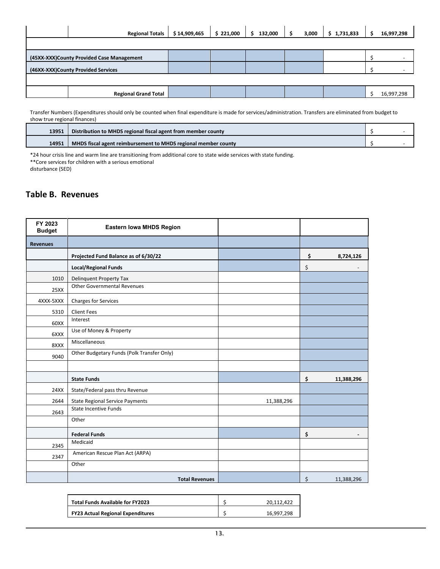|                                    | <b>Regional Totals</b>                    | \$14,909,465 | \$221,000 | 132,000<br>S | 3,000 | \$1,731,833 | 16,997,298 |
|------------------------------------|-------------------------------------------|--------------|-----------|--------------|-------|-------------|------------|
|                                    |                                           |              |           |              |       |             |            |
|                                    | (45XX-XXX)County Provided Case Management |              |           |              |       |             |            |
| (46XX-XXX)County Provided Services |                                           |              |           |              |       |             |            |
|                                    |                                           |              |           |              |       |             |            |
|                                    | <b>Regional Grand Total</b>               |              |           |              |       |             | 16,997,298 |

Transfer Numbers (Expenditures should only be counted when final expenditure is made for services/administration. Transfers are eliminated from budget to show true regional finances)

| 13951 | Distribution to MHDS regional fiscal agent from member county  |  |
|-------|----------------------------------------------------------------|--|
| 14951 | MHDS fiscal agent reimbursement to MHDS regional member county |  |

\*24 hour crisis line and warm line are transitioning from additional core to state wide services with state funding.

\*\*Core services for children with a serious emotional

disturbance (SED)

#### <span id="page-13-0"></span>**Table B. Revenues**

| FY 2023<br><b>Budget</b> | Eastern Iowa MHDS Region                   |            |                  |
|--------------------------|--------------------------------------------|------------|------------------|
| <b>Revenues</b>          |                                            |            |                  |
|                          | Projected Fund Balance as of 6/30/22       |            | \$<br>8,724,126  |
|                          | <b>Local/Regional Funds</b>                |            | \$               |
| 1010                     | Delinquent Property Tax                    |            |                  |
| 25XX                     | <b>Other Governmental Revenues</b>         |            |                  |
| 4XXX-5XXX                | <b>Charges for Services</b>                |            |                  |
| 5310                     | <b>Client Fees</b>                         |            |                  |
| 60XX                     | Interest                                   |            |                  |
| 6XXX                     | Use of Money & Property                    |            |                  |
| 8XXX                     | Miscellaneous                              |            |                  |
| 9040                     | Other Budgetary Funds (Polk Transfer Only) |            |                  |
|                          |                                            |            |                  |
|                          | <b>State Funds</b>                         |            | \$<br>11,388,296 |
| 24XX                     | State/Federal pass thru Revenue            |            |                  |
| 2644                     | <b>State Regional Service Payments</b>     | 11,388,296 |                  |
| 2643                     | <b>State Incentive Funds</b>               |            |                  |
|                          | Other                                      |            |                  |
|                          | <b>Federal Funds</b>                       |            | \$               |
| 2345                     | Medicaid                                   |            |                  |
| 2347                     | American Rescue Plan Act (ARPA)            |            |                  |
|                          | Other                                      |            |                  |
|                          | <b>Total Revenues</b>                      |            | \$<br>11,388,296 |

| <b>Total Funds Available for FY2023</b>  | 20.112.422 |
|------------------------------------------|------------|
| <b>FY23 Actual Regional Expenditures</b> | 16.997.298 |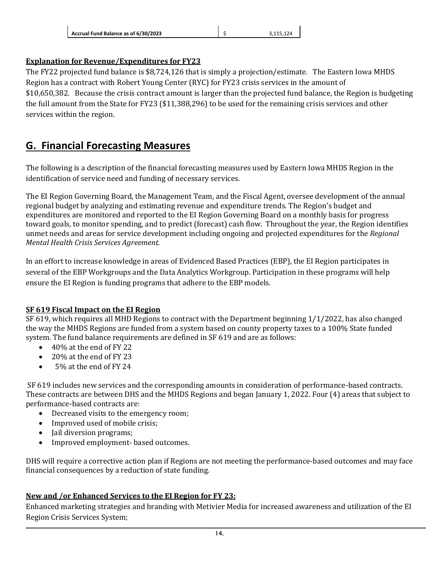| Accrual Fund Balance as of 6/30/2023 | 3.115.124 |
|--------------------------------------|-----------|
|                                      |           |

### **Explanation for Revenue/Expenditures for FY23**

The FY22 projected fund balance is \$8,724,126 that is simply a projection/estimate. The Eastern Iowa MHDS Region has a contract with Robert Young Center (RYC) for FY23 crisis services in the amount of \$10,650,382. Because the crisis contract amount is larger than the projected fund balance, the Region is budgeting the full amount from the State for FY23 (\$11,388,296) to be used for the remaining crisis services and other services within the region.

### <span id="page-14-0"></span>**G. Financial Forecasting Measures**

The following is a description of the financial forecasting measures used by Eastern Iowa MHDS Region in the identification of service need and funding of necessary services.

The EI Region Governing Board, the Management Team, and the Fiscal Agent, oversee development of the annual regional budget by analyzing and estimating revenue and expenditure trends. The Region's budget and expenditures are monitored and reported to the EI Region Governing Board on a monthly basis for progress toward goals, to monitor spending, and to predict (forecast) cash flow. Throughout the year, the Region identifies unmet needs and areas for service development including ongoing and projected expenditures for the *Regional Mental Health Crisis Services Agreement.* 

In an effort to increase knowledge in areas of Evidenced Based Practices (EBP), the EI Region participates in several of the EBP Workgroups and the Data Analytics Workgroup. Participation in these programs will help ensure the EI Region is funding programs that adhere to the EBP models.

#### **SF 619 Fiscal Impact on the EI Region**

SF 619, which requires all MHD Regions to contract with the Department beginning 1/1/2022, has also changed the way the MHDS Regions are funded from a system based on county property taxes to a 100% State funded system. The fund balance requirements are defined in SF 619 and are as follows:

- 40% at the end of FY 22
- 20% at the end of FY 23
- 5% at the end of FY 24

SF 619 includes new services and the corresponding amounts in consideration of performance-based contracts. These contracts are between DHS and the MHDS Regions and began January 1, 2022. Four (4) areas that subject to performance-based contracts are:

- Decreased visits to the emergency room;
- Improved used of mobile crisis;
- Jail diversion programs;
- Improved employment- based outcomes.

DHS will require a corrective action plan if Regions are not meeting the performance-based outcomes and may face financial consequences by a reduction of state funding.

### **New and /or Enhanced Services to the EI Region for FY 23:**

Enhanced marketing strategies and branding with Metivier Media for increased awareness and utilization of the EI Region Crisis Services System;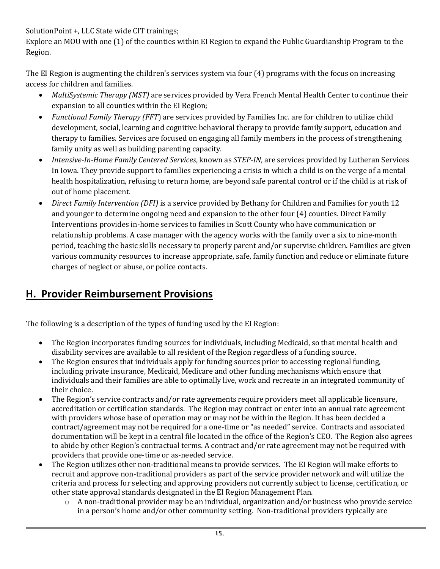SolutionPoint +, LLC State wide CIT trainings;

Explore an MOU with one (1) of the counties within EI Region to expand the Public Guardianship Program to the Region.

The EI Region is augmenting the children's services system via four (4) programs with the focus on increasing access for children and families.

- *MultiSystemic Therapy (MST)* are services provided by Vera French Mental Health Center to continue their expansion to all counties within the EI Region;
- *Functional Family Therapy (FFT*) are services provided by Families Inc. are for children to utilize child development, social, learning and cognitive behavioral therapy to provide family support, education and therapy to families. Services are focused on engaging all family members in the process of strengthening family unity as well as building parenting capacity.
- *Intensive-In-Home Family Centered Services*, known as *STEP-IN*, are services provided by Lutheran Services In Iowa. They provide support to families experiencing a crisis in which a child is on the verge of a mental health hospitalization, refusing to return home, are beyond safe parental control or if the child is at risk of out of home placement.
- *Direct Family Intervention (DFI)* is a service provided by Bethany for Children and Families for youth 12 and younger to determine ongoing need and expansion to the other four (4) counties. Direct Family Interventions provides in-home services to families in Scott County who have communication or relationship problems. A case manager with the agency works with the family over a six to nine-month period, teaching the basic skills necessary to properly parent and/or supervise children. Families are given various community resources to increase appropriate, safe, family function and reduce or eliminate future charges of neglect or abuse, or police contacts.

# <span id="page-15-0"></span>**H. Provider Reimbursement Provisions**

The following is a description of the types of funding used by the EI Region:

- The Region incorporates funding sources for individuals, including Medicaid, so that mental health and disability services are available to all resident of the Region regardless of a funding source.
- The Region ensures that individuals apply for funding sources prior to accessing regional funding, including private insurance, Medicaid, Medicare and other funding mechanisms which ensure that individuals and their families are able to optimally live, work and recreate in an integrated community of their choice.
- The Region's service contracts and/or rate agreements require providers meet all applicable licensure, accreditation or certification standards. The Region may contract or enter into an annual rate agreement with providers whose base of operation may or may not be within the Region. It has been decided a contract/agreement may not be required for a one-time or "as needed" service. Contracts and associated documentation will be kept in a central file located in the office of the Region's CEO. The Region also agrees to abide by other Region's contractual terms. A contract and/or rate agreement may not be required with providers that provide one-time or as-needed service.
- The Region utilizes other non-traditional means to provide services. The EI Region will make efforts to recruit and approve non-traditional providers as part of the service provider network and will utilize the criteria and process for selecting and approving providers not currently subject to license, certification, or other state approval standards designated in the EI Region Management Plan.
	- o A non-traditional provider may be an individual, organization and/or business who provide service in a person's home and/or other community setting. Non-traditional providers typically are